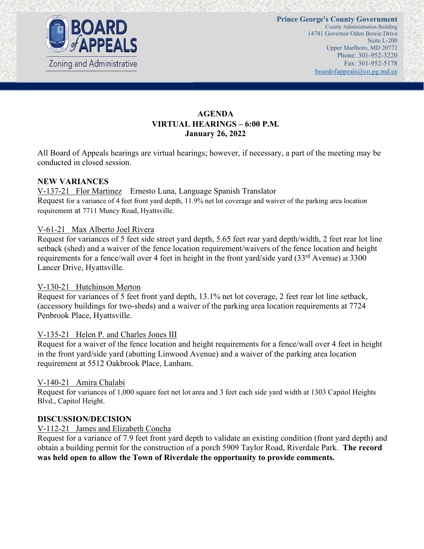

# **AGENDA VIRTUAL HEARINGS – 6:00 P.M. January 26, 2022**

All Board of Appeals hearings are virtual hearings; however, if necessary, a part of the meeting may be conducted in closed session.

### **NEW VARIANCES**

V-137-21 Flor Martinez Ernesto Luna, Language Spanish Translator Request for a variance of 4 feet front yard depth, 11.9% net lot coverage and waiver of the parking area location requirement at 7711 Muncy Road, Hyattsville.

#### V-61-21 Max Alberto Joel Rivera

Request for variances of 5 feet side street yard depth, 5.65 feet rear yard depth/width, 2 feet rear lot line setback (shed) and a waiver of the fence location requirement/waivers of the fence location and height requirements for a fence/wall over 4 feet in height in the front yard/side yard (33<sup>rd</sup> Avenue) at 3300 Lancer Drive, Hyattsville.

#### V-130-21 Hutchinson Merton

Request for variances of 5 feet front yard depth, 13.1% net lot coverage, 2 feet rear lot line setback, (accessory buildings for two-sheds) and a waiver of the parking area location requirements at 7724 Penbrook Place, Hyattsville.

#### V-135-21 Helen P. and Charles Jones III

Request for a waiver of the fence location and height requirements for a fence/wall over 4 feet in height in the front yard/side yard (abutting Linwood Avenue) and a waiver of the parking area location requirement at 5512 Oakbrook Place, Lanham.

#### V-140-21 Amira Chalabi

Request for variances of 1,000 square feet net lot area and 3 feet each side yard width at 1303 Capitol Heights Blvd., Capitol Height.

#### **DISCUSSION/DECISION**

#### V-112-21 James and Elizabeth Concha

Request for a variance of 7.9 feet front yard depth to validate an existing condition (front yard depth) and obtain a building permit for the construction of a porch 5909 Taylor Road, Riverdale Park. **The record was held open to allow the Town of Riverdale the opportunity to provide comments.**